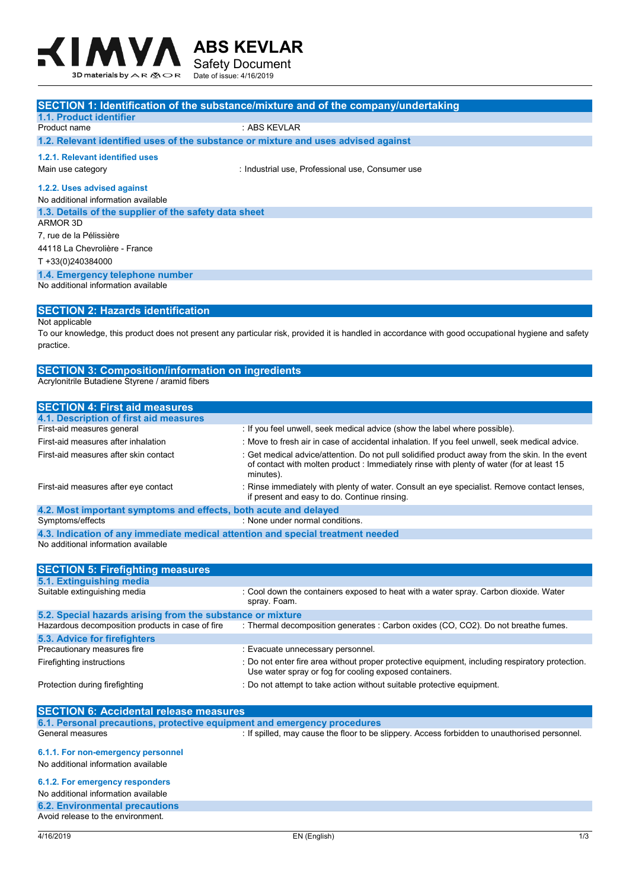

|                                                                                                                        | SECTION 1: Identification of the substance/mixture and of the company/undertaking                                                                   |
|------------------------------------------------------------------------------------------------------------------------|-----------------------------------------------------------------------------------------------------------------------------------------------------|
| 1.1. Product identifier                                                                                                |                                                                                                                                                     |
| Product name                                                                                                           | : ABS KEVLAR                                                                                                                                        |
| 1.2. Relevant identified uses of the substance or mixture and uses advised against                                     |                                                                                                                                                     |
| 1.2.1. Relevant identified uses                                                                                        |                                                                                                                                                     |
| Main use category                                                                                                      | : Industrial use, Professional use, Consumer use                                                                                                    |
|                                                                                                                        |                                                                                                                                                     |
| 1.2.2. Uses advised against                                                                                            |                                                                                                                                                     |
| No additional information available                                                                                    |                                                                                                                                                     |
| 1.3. Details of the supplier of the safety data sheet<br><b>ARMOR 3D</b>                                               |                                                                                                                                                     |
| 7, rue de la Pélissière                                                                                                |                                                                                                                                                     |
| 44118 La Chevrolière - France                                                                                          |                                                                                                                                                     |
| T +33(0)240384000                                                                                                      |                                                                                                                                                     |
|                                                                                                                        |                                                                                                                                                     |
| 1.4. Emergency telephone number<br>No additional information available                                                 |                                                                                                                                                     |
|                                                                                                                        |                                                                                                                                                     |
| <b>SECTION 2: Hazards identification</b>                                                                               |                                                                                                                                                     |
| Not applicable                                                                                                         |                                                                                                                                                     |
|                                                                                                                        | To our knowledge, this product does not present any particular risk, provided it is handled in accordance with good occupational hygiene and safety |
| practice.                                                                                                              |                                                                                                                                                     |
|                                                                                                                        |                                                                                                                                                     |
| <b>SECTION 3: Composition/information on ingredients</b>                                                               |                                                                                                                                                     |
| Acrylonitrile Butadiene Styrene / aramid fibers                                                                        |                                                                                                                                                     |
|                                                                                                                        |                                                                                                                                                     |
| <b>SECTION 4: First aid measures</b>                                                                                   |                                                                                                                                                     |
| 4.1. Description of first aid measures                                                                                 |                                                                                                                                                     |
| First-aid measures general                                                                                             | : If you feel unwell, seek medical advice (show the label where possible).                                                                          |
| First-aid measures after inhalation                                                                                    | : Move to fresh air in case of accidental inhalation. If you feel unwell, seek medical advice.                                                      |
| First-aid measures after skin contact                                                                                  | : Get medical advice/attention. Do not pull solidified product away from the skin. In the event                                                     |
|                                                                                                                        | of contact with molten product : Immediately rinse with plenty of water (for at least 15                                                            |
|                                                                                                                        | minutes).                                                                                                                                           |
|                                                                                                                        |                                                                                                                                                     |
| First-aid measures after eye contact                                                                                   | : Rinse immediately with plenty of water. Consult an eye specialist. Remove contact lenses,                                                         |
|                                                                                                                        | if present and easy to do. Continue rinsing.                                                                                                        |
| 4.2. Most important symptoms and effects, both acute and delayed                                                       | : None under normal conditions.                                                                                                                     |
| Symptoms/effects                                                                                                       |                                                                                                                                                     |
| 4.3. Indication of any immediate medical attention and special treatment needed<br>No additional information available |                                                                                                                                                     |
|                                                                                                                        |                                                                                                                                                     |
|                                                                                                                        |                                                                                                                                                     |
| <b>SECTION 5: Firefighting measures</b><br>5.1. Extinguishing media                                                    |                                                                                                                                                     |
| Suitable extinguishing media                                                                                           | : Cool down the containers exposed to heat with a water spray. Carbon dioxide. Water                                                                |

| 5.2. Special hazards arising from the substance or mixture |                                                                                                                                                           |
|------------------------------------------------------------|-----------------------------------------------------------------------------------------------------------------------------------------------------------|
| Hazardous decomposition products in case of fire           | : Thermal decomposition generates : Carbon oxides (CO, CO2). Do not breathe fumes.                                                                        |
| 5.3. Advice for firefighters                               |                                                                                                                                                           |
| Precautionary measures fire                                | : Evacuate unnecessary personnel.                                                                                                                         |
| Firefighting instructions                                  | : Do not enter fire area without proper protective equipment, including respiratory protection.<br>Use water spray or fog for cooling exposed containers. |
| Protection during firefighting                             | : Do not attempt to take action without suitable protective equipment.                                                                                    |

| <b>SECTION 6: Accidental release measures</b>                             |                                                                                               |
|---------------------------------------------------------------------------|-----------------------------------------------------------------------------------------------|
| 6.1. Personal precautions, protective equipment and emergency procedures  |                                                                                               |
| General measures                                                          | : If spilled, may cause the floor to be slippery. Access forbidden to unauthorised personnel. |
| 6.1.1. For non-emergency personnel<br>No additional information available |                                                                                               |
| 6.1.2. For emergency responders                                           |                                                                                               |
| No additional information available                                       |                                                                                               |
| <b>6.2. Environmental precautions</b>                                     |                                                                                               |
| Avoid release to the environment.                                         |                                                                                               |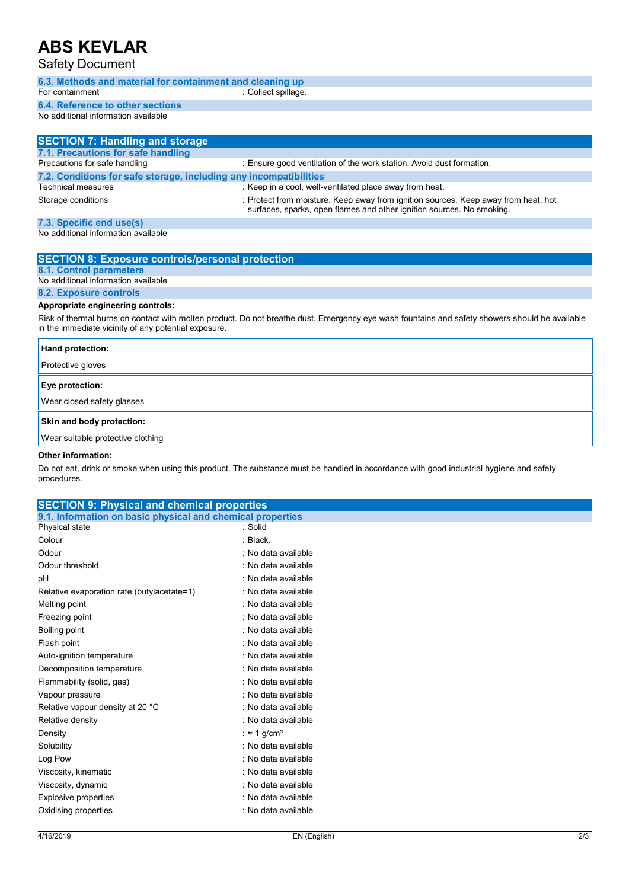## **ABS KEVLAR**

Safety Document

| <b>UUIVIY DUUUIIIVIII</b>                                         |                                                                                                                                                             |
|-------------------------------------------------------------------|-------------------------------------------------------------------------------------------------------------------------------------------------------------|
| 6.3. Methods and material for containment and cleaning up         |                                                                                                                                                             |
| For containment                                                   | : Collect spillage.                                                                                                                                         |
| 6.4. Reference to other sections                                  |                                                                                                                                                             |
| No additional information available                               |                                                                                                                                                             |
|                                                                   |                                                                                                                                                             |
| <b>SECTION 7: Handling and storage</b>                            |                                                                                                                                                             |
| 7.1. Precautions for safe handling                                |                                                                                                                                                             |
| Precautions for safe handling                                     | : Ensure good ventilation of the work station. Avoid dust formation.                                                                                        |
| 7.2. Conditions for safe storage, including any incompatibilities |                                                                                                                                                             |
| <b>Technical measures</b>                                         | : Keep in a cool, well-ventilated place away from heat.                                                                                                     |
| Storage conditions                                                | : Protect from moisture. Keep away from ignition sources. Keep away from heat, hot<br>surfaces, sparks, open flames and other ignition sources. No smoking. |
| 7.3. Specific end use(s)                                          |                                                                                                                                                             |
| No additional information available                               |                                                                                                                                                             |
|                                                                   |                                                                                                                                                             |
| <b>SECTION 8: Exposure controls/personal protection</b>           |                                                                                                                                                             |
| 8.1. Control parameters                                           |                                                                                                                                                             |
| No additional information available                               |                                                                                                                                                             |
| 8.2. Exposure controls                                            |                                                                                                                                                             |
| Appropriate engineering controls:                                 |                                                                                                                                                             |
| in the immediate vicinity of any potential exposure.              | Risk of thermal burns on contact with molten product. Do not breathe dust. Emergency eye wash fountains and safety showers should be available              |
|                                                                   |                                                                                                                                                             |

| <b>Hand protection:</b>           |
|-----------------------------------|
| Protective gloves                 |
| Eye protection:                   |
| Wear closed safety glasses        |
| Skin and body protection:         |
| Wear suitable protective clothing |
|                                   |

#### **Other information:**

Do not eat, drink or smoke when using this product. The substance must be handled in accordance with good industrial hygiene and safety procedures.

| <b>SECTION 9: Physical and chemical properties</b>         |                                 |     |
|------------------------------------------------------------|---------------------------------|-----|
| 9.1. Information on basic physical and chemical properties |                                 |     |
| Physical state                                             | : Solid                         |     |
| Colour                                                     | : Black                         |     |
| Odour                                                      | : No data available             |     |
| Odour threshold                                            | : No data available             |     |
| pH                                                         | : No data available             |     |
| Relative evaporation rate (butylacetate=1)                 | : No data available             |     |
| Melting point                                              | : No data available             |     |
| Freezing point                                             | : No data available             |     |
| Boiling point                                              | : No data available             |     |
| Flash point                                                | : No data available             |     |
| Auto-ignition temperature                                  | : No data available             |     |
| Decomposition temperature                                  | : No data available             |     |
| Flammability (solid, gas)                                  | : No data available             |     |
| Vapour pressure                                            | : No data available             |     |
| Relative vapour density at 20 °C                           | : No data available             |     |
| Relative density                                           | : No data available             |     |
| Density                                                    | : $\approx$ 1 g/cm <sup>3</sup> |     |
| Solubility                                                 | : No data available             |     |
| Log Pow                                                    | : No data available             |     |
| Viscosity, kinematic                                       | : No data available             |     |
| Viscosity, dynamic                                         | : No data available             |     |
| <b>Explosive properties</b>                                | : No data available             |     |
| Oxidising properties                                       | : No data available             |     |
| 4/16/2019                                                  | EN (English)                    | 2/3 |